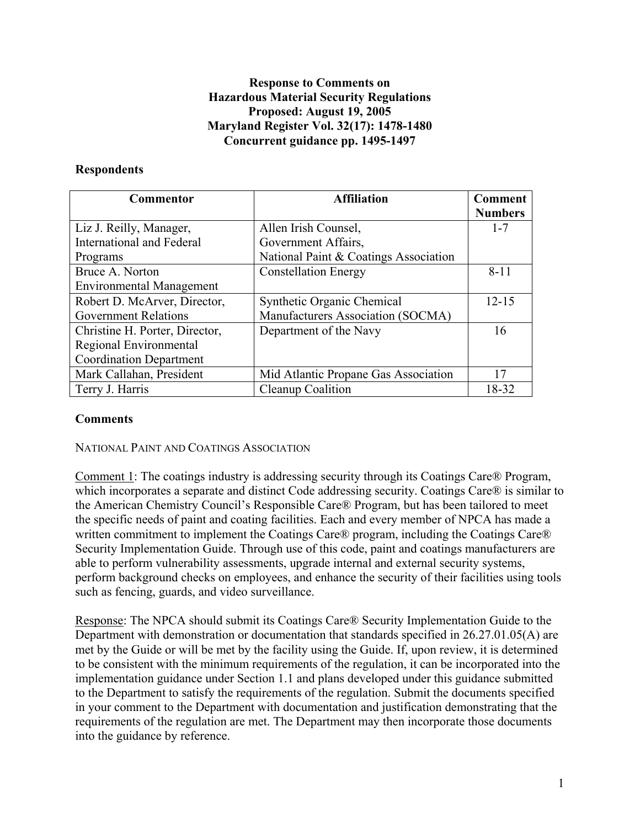### **Response to Comments on Hazardous Material Security Regulations Proposed: August 19, 2005 Maryland Register Vol. 32(17): 1478-1480 Concurrent guidance pp. 1495-1497**

### **Respondents**

| <b>Commentor</b>                 | <b>Affiliation</b>                    | <b>Comment</b> |
|----------------------------------|---------------------------------------|----------------|
|                                  |                                       | <b>Numbers</b> |
| Liz J. Reilly, Manager,          | Allen Irish Counsel,                  | $1 - 7$        |
| <b>International and Federal</b> | Government Affairs,                   |                |
| Programs                         | National Paint & Coatings Association |                |
| Bruce A. Norton                  | <b>Constellation Energy</b>           | $8 - 11$       |
| <b>Environmental Management</b>  |                                       |                |
| Robert D. McArver, Director,     | <b>Synthetic Organic Chemical</b>     | $12 - 15$      |
| <b>Government Relations</b>      | Manufacturers Association (SOCMA)     |                |
| Christine H. Porter, Director,   | Department of the Navy                | 16             |
| Regional Environmental           |                                       |                |
| <b>Coordination Department</b>   |                                       |                |
| Mark Callahan, President         | Mid Atlantic Propane Gas Association  | 17             |
| Terry J. Harris                  | Cleanup Coalition                     | 18-32          |

### **Comments**

NATIONAL PAINT AND COATINGS ASSOCIATION

Comment 1: The coatings industry is addressing security through its Coatings Care® Program, which incorporates a separate and distinct Code addressing security. Coatings Care® is similar to the American Chemistry Council's Responsible Care® Program, but has been tailored to meet the specific needs of paint and coating facilities. Each and every member of NPCA has made a written commitment to implement the Coatings Care® program, including the Coatings Care® Security Implementation Guide. Through use of this code, paint and coatings manufacturers are able to perform vulnerability assessments, upgrade internal and external security systems, perform background checks on employees, and enhance the security of their facilities using tools such as fencing, guards, and video surveillance.

Response: The NPCA should submit its Coatings Care® Security Implementation Guide to the Department with demonstration or documentation that standards specified in 26.27.01.05(A) are met by the Guide or will be met by the facility using the Guide. If, upon review, it is determined to be consistent with the minimum requirements of the regulation, it can be incorporated into the implementation guidance under Section 1.1 and plans developed under this guidance submitted to the Department to satisfy the requirements of the regulation. Submit the documents specified in your comment to the Department with documentation and justification demonstrating that the requirements of the regulation are met. The Department may then incorporate those documents into the guidance by reference.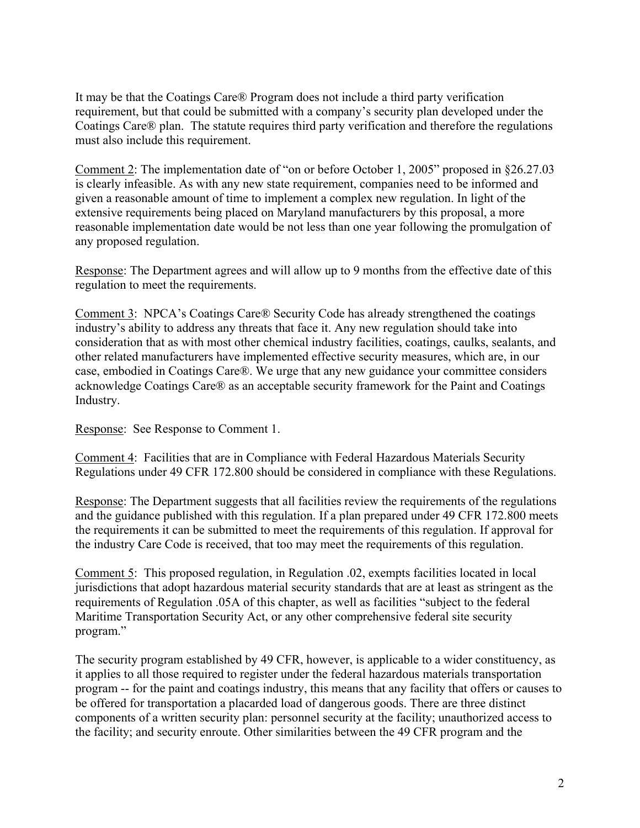It may be that the Coatings Care® Program does not include a third party verification requirement, but that could be submitted with a company's security plan developed under the Coatings Care® plan. The statute requires third party verification and therefore the regulations must also include this requirement.

Comment 2: The implementation date of "on or before October 1, 2005" proposed in §26.27.03 is clearly infeasible. As with any new state requirement, companies need to be informed and given a reasonable amount of time to implement a complex new regulation. In light of the extensive requirements being placed on Maryland manufacturers by this proposal, a more reasonable implementation date would be not less than one year following the promulgation of any proposed regulation.

Response: The Department agrees and will allow up to 9 months from the effective date of this regulation to meet the requirements.

Comment 3: NPCA's Coatings Care® Security Code has already strengthened the coatings industry's ability to address any threats that face it. Any new regulation should take into consideration that as with most other chemical industry facilities, coatings, caulks, sealants, and other related manufacturers have implemented effective security measures, which are, in our case, embodied in Coatings Care®. We urge that any new guidance your committee considers acknowledge Coatings Care® as an acceptable security framework for the Paint and Coatings Industry.

Response: See Response to Comment 1.

Comment 4: Facilities that are in Compliance with Federal Hazardous Materials Security Regulations under 49 CFR 172.800 should be considered in compliance with these Regulations.

Response: The Department suggests that all facilities review the requirements of the regulations and the guidance published with this regulation. If a plan prepared under 49 CFR 172.800 meets the requirements it can be submitted to meet the requirements of this regulation. If approval for the industry Care Code is received, that too may meet the requirements of this regulation.

Comment 5: This proposed regulation, in Regulation .02, exempts facilities located in local jurisdictions that adopt hazardous material security standards that are at least as stringent as the requirements of Regulation .05A of this chapter, as well as facilities "subject to the federal Maritime Transportation Security Act, or any other comprehensive federal site security program."

The security program established by 49 CFR, however, is applicable to a wider constituency, as it applies to all those required to register under the federal hazardous materials transportation program -- for the paint and coatings industry, this means that any facility that offers or causes to be offered for transportation a placarded load of dangerous goods. There are three distinct components of a written security plan: personnel security at the facility; unauthorized access to the facility; and security enroute. Other similarities between the 49 CFR program and the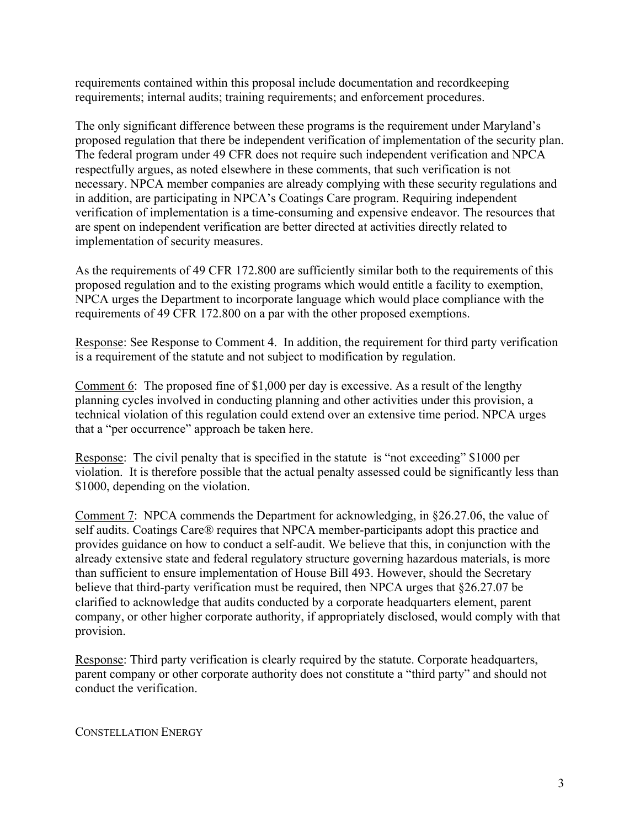requirements contained within this proposal include documentation and recordkeeping requirements; internal audits; training requirements; and enforcement procedures.

The only significant difference between these programs is the requirement under Maryland's proposed regulation that there be independent verification of implementation of the security plan. The federal program under 49 CFR does not require such independent verification and NPCA respectfully argues, as noted elsewhere in these comments, that such verification is not necessary. NPCA member companies are already complying with these security regulations and in addition, are participating in NPCA's Coatings Care program. Requiring independent verification of implementation is a time-consuming and expensive endeavor. The resources that are spent on independent verification are better directed at activities directly related to implementation of security measures.

As the requirements of 49 CFR 172.800 are sufficiently similar both to the requirements of this proposed regulation and to the existing programs which would entitle a facility to exemption, NPCA urges the Department to incorporate language which would place compliance with the requirements of 49 CFR 172.800 on a par with the other proposed exemptions.

Response: See Response to Comment 4. In addition, the requirement for third party verification is a requirement of the statute and not subject to modification by regulation.

Comment 6: The proposed fine of \$1,000 per day is excessive. As a result of the lengthy planning cycles involved in conducting planning and other activities under this provision, a technical violation of this regulation could extend over an extensive time period. NPCA urges that a "per occurrence" approach be taken here.

Response: The civil penalty that is specified in the statute is "not exceeding" \$1000 per violation. It is therefore possible that the actual penalty assessed could be significantly less than \$1000, depending on the violation.

Comment 7: NPCA commends the Department for acknowledging, in §26.27.06, the value of self audits. Coatings Care® requires that NPCA member-participants adopt this practice and provides guidance on how to conduct a self-audit. We believe that this, in conjunction with the already extensive state and federal regulatory structure governing hazardous materials, is more than sufficient to ensure implementation of House Bill 493. However, should the Secretary believe that third-party verification must be required, then NPCA urges that §26.27.07 be clarified to acknowledge that audits conducted by a corporate headquarters element, parent company, or other higher corporate authority, if appropriately disclosed, would comply with that provision.

Response: Third party verification is clearly required by the statute. Corporate headquarters, parent company or other corporate authority does not constitute a "third party" and should not conduct the verification.

CONSTELLATION ENERGY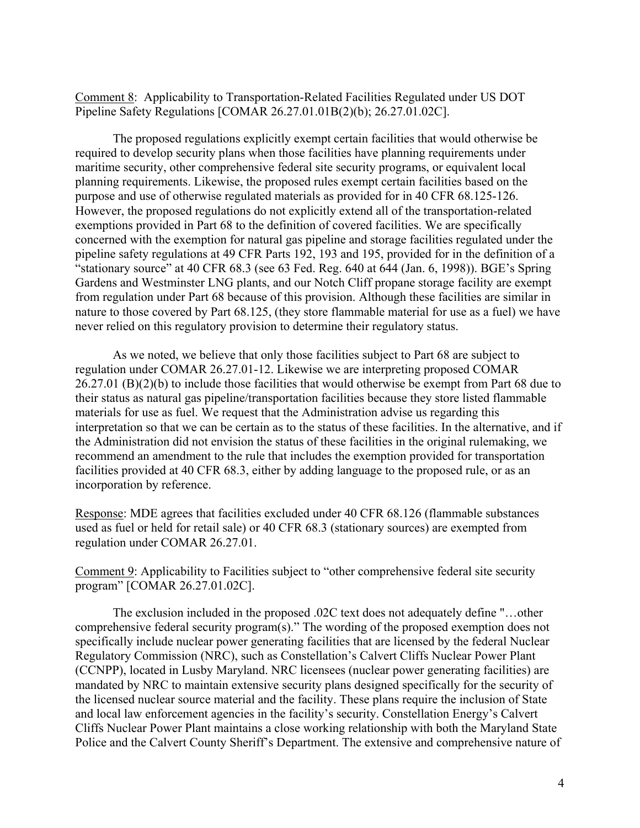Comment 8: Applicability to Transportation-Related Facilities Regulated under US DOT Pipeline Safety Regulations [COMAR 26.27.01.01B(2)(b); 26.27.01.02C].

The proposed regulations explicitly exempt certain facilities that would otherwise be required to develop security plans when those facilities have planning requirements under maritime security, other comprehensive federal site security programs, or equivalent local planning requirements. Likewise, the proposed rules exempt certain facilities based on the purpose and use of otherwise regulated materials as provided for in 40 CFR 68.125-126. However, the proposed regulations do not explicitly extend all of the transportation-related exemptions provided in Part 68 to the definition of covered facilities. We are specifically concerned with the exemption for natural gas pipeline and storage facilities regulated under the pipeline safety regulations at 49 CFR Parts 192, 193 and 195, provided for in the definition of a "stationary source" at 40 CFR 68.3 (see 63 Fed. Reg. 640 at 644 (Jan. 6, 1998)). BGE's Spring Gardens and Westminster LNG plants, and our Notch Cliff propane storage facility are exempt from regulation under Part 68 because of this provision. Although these facilities are similar in nature to those covered by Part 68.125, (they store flammable material for use as a fuel) we have never relied on this regulatory provision to determine their regulatory status.

As we noted, we believe that only those facilities subject to Part 68 are subject to regulation under COMAR 26.27.01-12. Likewise we are interpreting proposed COMAR 26.27.01 (B)(2)(b) to include those facilities that would otherwise be exempt from Part 68 due to their status as natural gas pipeline/transportation facilities because they store listed flammable materials for use as fuel. We request that the Administration advise us regarding this interpretation so that we can be certain as to the status of these facilities. In the alternative, and if the Administration did not envision the status of these facilities in the original rulemaking, we recommend an amendment to the rule that includes the exemption provided for transportation facilities provided at 40 CFR 68.3, either by adding language to the proposed rule, or as an incorporation by reference.

Response: MDE agrees that facilities excluded under 40 CFR 68.126 (flammable substances used as fuel or held for retail sale) or 40 CFR 68.3 (stationary sources) are exempted from regulation under COMAR 26.27.01.

Comment 9: Applicability to Facilities subject to "other comprehensive federal site security program" [COMAR 26.27.01.02C].

The exclusion included in the proposed .02C text does not adequately define "…other comprehensive federal security program(s)." The wording of the proposed exemption does not specifically include nuclear power generating facilities that are licensed by the federal Nuclear Regulatory Commission (NRC), such as Constellation's Calvert Cliffs Nuclear Power Plant (CCNPP), located in Lusby Maryland. NRC licensees (nuclear power generating facilities) are mandated by NRC to maintain extensive security plans designed specifically for the security of the licensed nuclear source material and the facility. These plans require the inclusion of State and local law enforcement agencies in the facility's security. Constellation Energy's Calvert Cliffs Nuclear Power Plant maintains a close working relationship with both the Maryland State Police and the Calvert County Sheriff's Department. The extensive and comprehensive nature of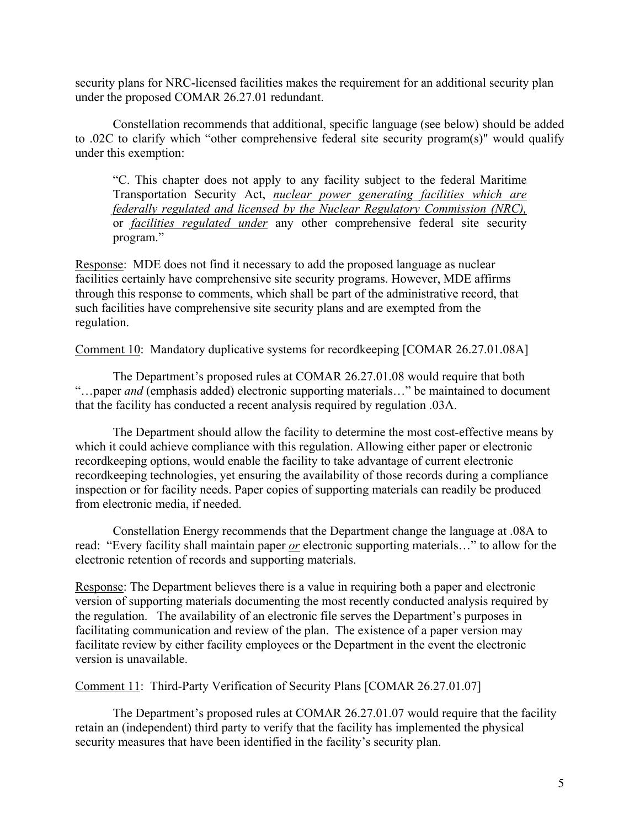security plans for NRC-licensed facilities makes the requirement for an additional security plan under the proposed COMAR 26.27.01 redundant.

Constellation recommends that additional, specific language (see below) should be added to .02C to clarify which "other comprehensive federal site security program(s)" would qualify under this exemption:

"C. This chapter does not apply to any facility subject to the federal Maritime Transportation Security Act, *nuclear power generating facilities which are federally regulated and licensed by the Nuclear Regulatory Commission (NRC),* or *facilities regulated under* any other comprehensive federal site security program."

Response: MDE does not find it necessary to add the proposed language as nuclear facilities certainly have comprehensive site security programs. However, MDE affirms through this response to comments, which shall be part of the administrative record, that such facilities have comprehensive site security plans and are exempted from the regulation.

Comment 10: Mandatory duplicative systems for recordkeeping [COMAR 26.27.01.08A]

The Department's proposed rules at COMAR 26.27.01.08 would require that both "…paper *and* (emphasis added) electronic supporting materials…" be maintained to document that the facility has conducted a recent analysis required by regulation .03A.

The Department should allow the facility to determine the most cost-effective means by which it could achieve compliance with this regulation. Allowing either paper or electronic recordkeeping options, would enable the facility to take advantage of current electronic recordkeeping technologies, yet ensuring the availability of those records during a compliance inspection or for facility needs. Paper copies of supporting materials can readily be produced from electronic media, if needed.

Constellation Energy recommends that the Department change the language at .08A to read: "Every facility shall maintain paper *or* electronic supporting materials…" to allow for the electronic retention of records and supporting materials.

Response: The Department believes there is a value in requiring both a paper and electronic version of supporting materials documenting the most recently conducted analysis required by the regulation. The availability of an electronic file serves the Department's purposes in facilitating communication and review of the plan. The existence of a paper version may facilitate review by either facility employees or the Department in the event the electronic version is unavailable.

Comment 11: Third-Party Verification of Security Plans [COMAR 26.27.01.07]

The Department's proposed rules at COMAR 26.27.01.07 would require that the facility retain an (independent) third party to verify that the facility has implemented the physical security measures that have been identified in the facility's security plan.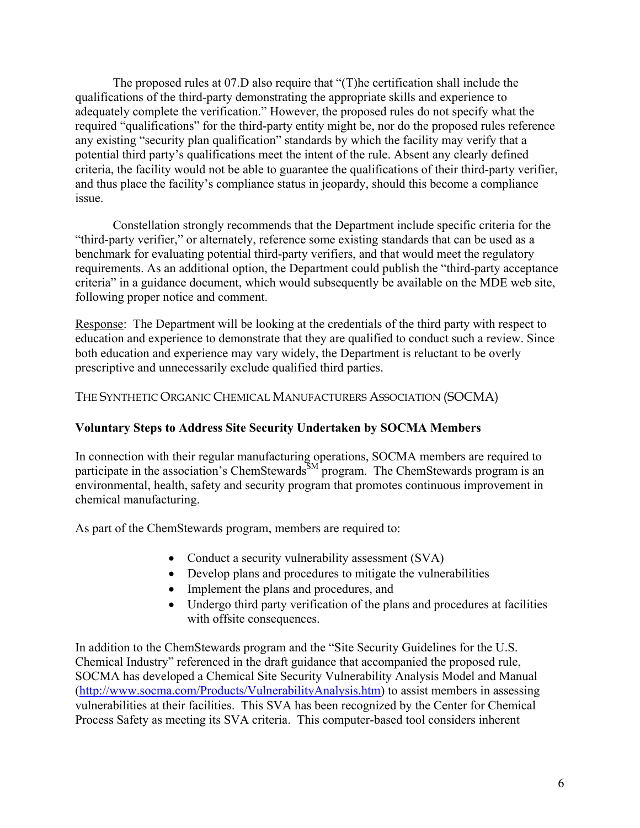The proposed rules at 07.D also require that "(T)he certification shall include the qualifications of the third-party demonstrating the appropriate skills and experience to adequately complete the verification." However, the proposed rules do not specify what the required "qualifications" for the third-party entity might be, nor do the proposed rules reference any existing "security plan qualification" standards by which the facility may verify that a potential third party's qualifications meet the intent of the rule. Absent any clearly defined criteria, the facility would not be able to guarantee the qualifications of their third-party verifier, and thus place the facility's compliance status in jeopardy, should this become a compliance issue.

Constellation strongly recommends that the Department include specific criteria for the "third-party verifier," or alternately, reference some existing standards that can be used as a benchmark for evaluating potential third-party verifiers, and that would meet the regulatory requirements. As an additional option, the Department could publish the "third-party acceptance criteria" in a guidance document, which would subsequently be available on the MDE web site, following proper notice and comment.

Response: The Department will be looking at the credentials of the third party with respect to education and experience to demonstrate that they are qualified to conduct such a review. Since both education and experience may vary widely, the Department is reluctant to be overly prescriptive and unnecessarily exclude qualified third parties.

## THE SYNTHETIC ORGANIC CHEMICAL MANUFACTURERS ASSOCIATION (SOCMA)

### **Voluntary Steps to Address Site Security Undertaken by SOCMA Members**

In connection with their regular manufacturing operations, SOCMA members are required to participate in the association's ChemStewards<sup>SM</sup> program. The ChemStewards program is an environmental, health, safety and security program that promotes continuous improvement in chemical manufacturing.

As part of the ChemStewards program, members are required to:

- Conduct a security vulnerability assessment (SVA)
- Develop plans and procedures to mitigate the vulnerabilities
- Implement the plans and procedures, and
- Undergo third party verification of the plans and procedures at facilities with offsite consequences.

In addition to the ChemStewards program and the "Site Security Guidelines for the U.S. Chemical Industry" referenced in the draft guidance that accompanied the proposed rule, SOCMA has developed a Chemical Site Security Vulnerability Analysis Model and Manual (http://www.socma.com/Products/VulnerabilityAnalysis.htm) to assist members in assessing vulnerabilities at their facilities. This SVA has been recognized by the Center for Chemical Process Safety as meeting its SVA criteria. This computer-based tool considers inherent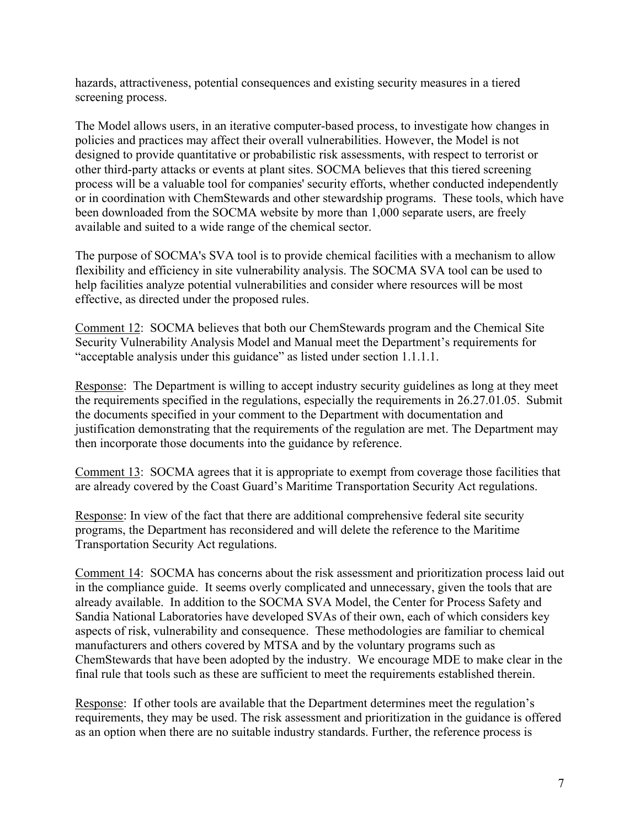hazards, attractiveness, potential consequences and existing security measures in a tiered screening process.

The Model allows users, in an iterative computer-based process, to investigate how changes in policies and practices may affect their overall vulnerabilities. However, the Model is not designed to provide quantitative or probabilistic risk assessments, with respect to terrorist or other third-party attacks or events at plant sites. SOCMA believes that this tiered screening process will be a valuable tool for companies' security efforts, whether conducted independently or in coordination with ChemStewards and other stewardship programs. These tools, which have been downloaded from the SOCMA website by more than 1,000 separate users, are freely available and suited to a wide range of the chemical sector.

The purpose of SOCMA's SVA tool is to provide chemical facilities with a mechanism to allow flexibility and efficiency in site vulnerability analysis. The SOCMA SVA tool can be used to help facilities analyze potential vulnerabilities and consider where resources will be most effective, as directed under the proposed rules.

Comment 12: SOCMA believes that both our ChemStewards program and the Chemical Site Security Vulnerability Analysis Model and Manual meet the Department's requirements for "acceptable analysis under this guidance" as listed under section 1.1.1.1.

Response: The Department is willing to accept industry security guidelines as long at they meet the requirements specified in the regulations, especially the requirements in 26.27.01.05. Submit the documents specified in your comment to the Department with documentation and justification demonstrating that the requirements of the regulation are met. The Department may then incorporate those documents into the guidance by reference.

Comment 13: SOCMA agrees that it is appropriate to exempt from coverage those facilities that are already covered by the Coast Guard's Maritime Transportation Security Act regulations.

Response: In view of the fact that there are additional comprehensive federal site security programs, the Department has reconsidered and will delete the reference to the Maritime Transportation Security Act regulations.

Comment 14: SOCMA has concerns about the risk assessment and prioritization process laid out in the compliance guide. It seems overly complicated and unnecessary, given the tools that are already available. In addition to the SOCMA SVA Model, the Center for Process Safety and Sandia National Laboratories have developed SVAs of their own, each of which considers key aspects of risk, vulnerability and consequence. These methodologies are familiar to chemical manufacturers and others covered by MTSA and by the voluntary programs such as ChemStewards that have been adopted by the industry. We encourage MDE to make clear in the final rule that tools such as these are sufficient to meet the requirements established therein.

Response: If other tools are available that the Department determines meet the regulation's requirements, they may be used. The risk assessment and prioritization in the guidance is offered as an option when there are no suitable industry standards. Further, the reference process is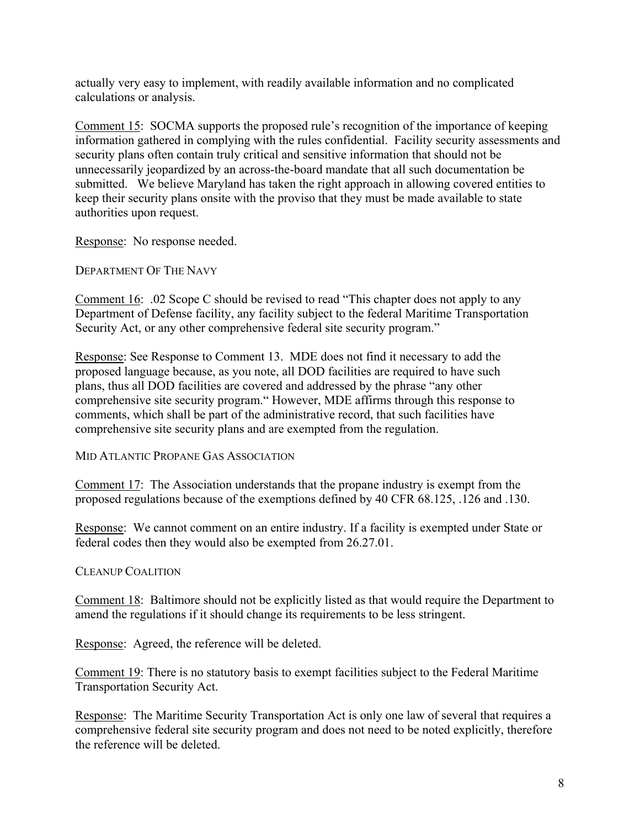actually very easy to implement, with readily available information and no complicated calculations or analysis.

Comment 15: SOCMA supports the proposed rule's recognition of the importance of keeping information gathered in complying with the rules confidential. Facility security assessments and security plans often contain truly critical and sensitive information that should not be unnecessarily jeopardized by an across-the-board mandate that all such documentation be submitted. We believe Maryland has taken the right approach in allowing covered entities to keep their security plans onsite with the proviso that they must be made available to state authorities upon request.

Response: No response needed.

DEPARTMENT OF THE NAVY

Comment 16: .02 Scope C should be revised to read "This chapter does not apply to any Department of Defense facility, any facility subject to the federal Maritime Transportation Security Act, or any other comprehensive federal site security program."

Response: See Response to Comment 13. MDE does not find it necessary to add the proposed language because, as you note, all DOD facilities are required to have such plans, thus all DOD facilities are covered and addressed by the phrase "any other comprehensive site security program." However, MDE affirms through this response to comments, which shall be part of the administrative record, that such facilities have comprehensive site security plans and are exempted from the regulation.

MID ATLANTIC PROPANE GAS ASSOCIATION

Comment 17: The Association understands that the propane industry is exempt from the proposed regulations because of the exemptions defined by 40 CFR 68.125, .126 and .130.

Response: We cannot comment on an entire industry. If a facility is exempted under State or federal codes then they would also be exempted from 26.27.01.

## CLEANUP COALITION

Comment 18: Baltimore should not be explicitly listed as that would require the Department to amend the regulations if it should change its requirements to be less stringent.

Response: Agreed, the reference will be deleted.

Comment 19: There is no statutory basis to exempt facilities subject to the Federal Maritime Transportation Security Act.

Response: The Maritime Security Transportation Act is only one law of several that requires a comprehensive federal site security program and does not need to be noted explicitly, therefore the reference will be deleted.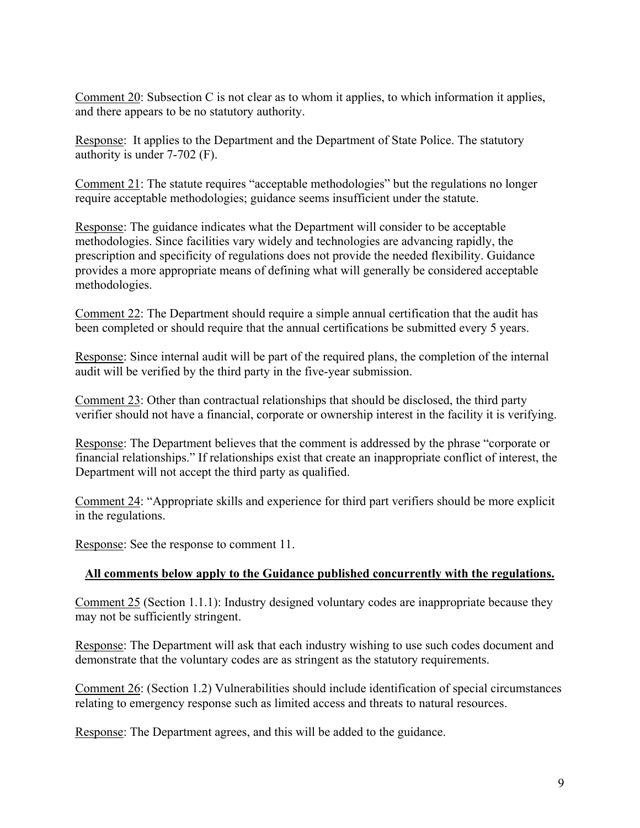Comment 20: Subsection C is not clear as to whom it applies, to which information it applies, and there appears to be no statutory authority.

Response: It applies to the Department and the Department of State Police. The statutory authority is under 7-702 (F).

Comment 21: The statute requires "acceptable methodologies" but the regulations no longer require acceptable methodologies; guidance seems insufficient under the statute.

Response: The guidance indicates what the Department will consider to be acceptable methodologies. Since facilities vary widely and technologies are advancing rapidly, the prescription and specificity of regulations does not provide the needed flexibility. Guidance provides a more appropriate means of defining what will generally be considered acceptable methodologies.

Comment 22: The Department should require a simple annual certification that the audit has been completed or should require that the annual certifications be submitted every 5 years.

Response: Since internal audit will be part of the required plans, the completion of the internal audit will be verified by the third party in the five-year submission.

Comment 23: Other than contractual relationships that should be disclosed, the third party verifier should not have a financial, corporate or ownership interest in the facility it is verifying.

Response: The Department believes that the comment is addressed by the phrase "corporate or financial relationships." If relationships exist that create an inappropriate conflict of interest, the Department will not accept the third party as qualified.

Comment 24: "Appropriate skills and experience for third part verifiers should be more explicit in the regulations.

Response: See the response to comment 11.

# **All comments below apply to the Guidance published concurrently with the regulations.**

Comment 25 (Section 1.1.1): Industry designed voluntary codes are inappropriate because they may not be sufficiently stringent.

Response: The Department will ask that each industry wishing to use such codes document and demonstrate that the voluntary codes are as stringent as the statutory requirements.

Comment 26: (Section 1.2) Vulnerabilities should include identification of special circumstances relating to emergency response such as limited access and threats to natural resources.

Response: The Department agrees, and this will be added to the guidance.